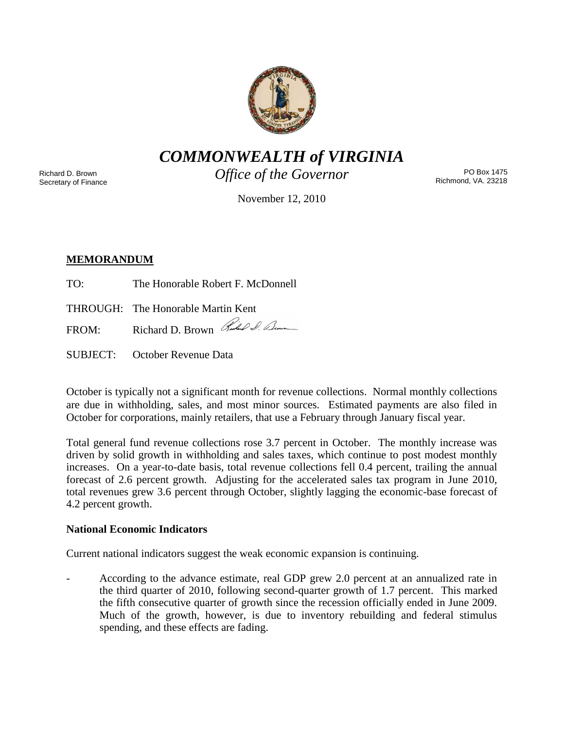

*COMMONWEALTH of VIRGINIA*

Richard D. Brown Secretary of Finance *Office of the Governor*

PO Box 1475 Richmond, VA. 23218

November 12, 2010

# **MEMORANDUM**

- TO: The Honorable Robert F. McDonnell
- THROUGH: The Honorable Martin Kent

FROM: Richard D. Brown Red & Com

SUBJECT: October Revenue Data

October is typically not a significant month for revenue collections. Normal monthly collections are due in withholding, sales, and most minor sources. Estimated payments are also filed in October for corporations, mainly retailers, that use a February through January fiscal year.

Total general fund revenue collections rose 3.7 percent in October. The monthly increase was driven by solid growth in withholding and sales taxes, which continue to post modest monthly increases. On a year-to-date basis, total revenue collections fell 0.4 percent, trailing the annual forecast of 2.6 percent growth. Adjusting for the accelerated sales tax program in June 2010, total revenues grew 3.6 percent through October, slightly lagging the economic-base forecast of 4.2 percent growth.

# **National Economic Indicators**

Current national indicators suggest the weak economic expansion is continuing.

According to the advance estimate, real GDP grew 2.0 percent at an annualized rate in the third quarter of 2010, following second-quarter growth of 1.7 percent. This marked the fifth consecutive quarter of growth since the recession officially ended in June 2009. Much of the growth, however, is due to inventory rebuilding and federal stimulus spending, and these effects are fading.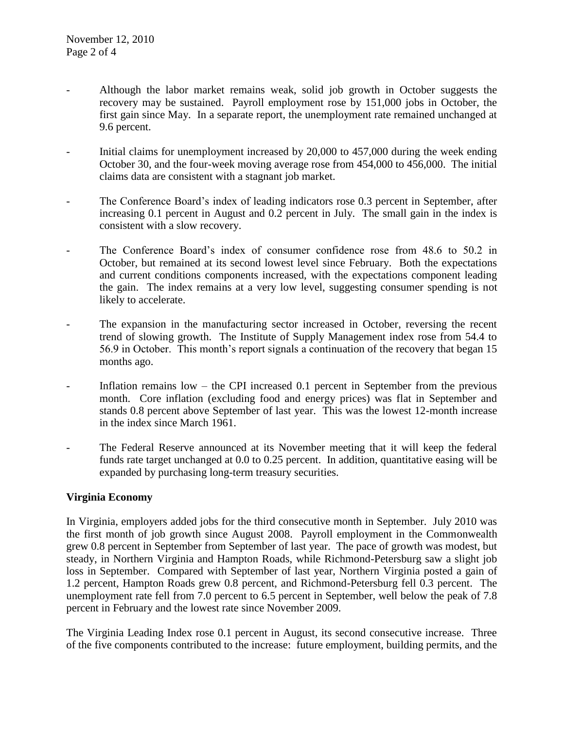- Although the labor market remains weak, solid job growth in October suggests the recovery may be sustained. Payroll employment rose by 151,000 jobs in October, the first gain since May. In a separate report, the unemployment rate remained unchanged at 9.6 percent.
- Initial claims for unemployment increased by 20,000 to 457,000 during the week ending October 30, and the four-week moving average rose from 454,000 to 456,000. The initial claims data are consistent with a stagnant job market.
- The Conference Board's index of leading indicators rose 0.3 percent in September, after increasing 0.1 percent in August and 0.2 percent in July. The small gain in the index is consistent with a slow recovery.
- The Conference Board's index of consumer confidence rose from 48.6 to 50.2 in October, but remained at its second lowest level since February. Both the expectations and current conditions components increased, with the expectations component leading the gain. The index remains at a very low level, suggesting consumer spending is not likely to accelerate.
- The expansion in the manufacturing sector increased in October, reversing the recent trend of slowing growth. The Institute of Supply Management index rose from 54.4 to 56.9 in October. This month's report signals a continuation of the recovery that began 15 months ago.
- Inflation remains low the CPI increased 0.1 percent in September from the previous month. Core inflation (excluding food and energy prices) was flat in September and stands 0.8 percent above September of last year. This was the lowest 12-month increase in the index since March 1961.
- The Federal Reserve announced at its November meeting that it will keep the federal funds rate target unchanged at 0.0 to 0.25 percent. In addition, quantitative easing will be expanded by purchasing long-term treasury securities.

## **Virginia Economy**

In Virginia, employers added jobs for the third consecutive month in September. July 2010 was the first month of job growth since August 2008. Payroll employment in the Commonwealth grew 0.8 percent in September from September of last year. The pace of growth was modest, but steady, in Northern Virginia and Hampton Roads, while Richmond-Petersburg saw a slight job loss in September. Compared with September of last year, Northern Virginia posted a gain of 1.2 percent, Hampton Roads grew 0.8 percent, and Richmond-Petersburg fell 0.3 percent. The unemployment rate fell from 7.0 percent to 6.5 percent in September, well below the peak of 7.8 percent in February and the lowest rate since November 2009.

The Virginia Leading Index rose 0.1 percent in August, its second consecutive increase. Three of the five components contributed to the increase: future employment, building permits, and the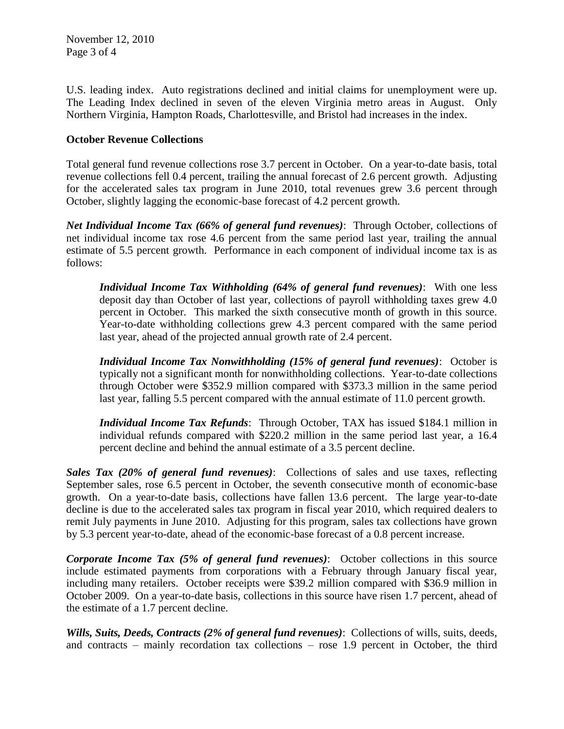U.S. leading index. Auto registrations declined and initial claims for unemployment were up. The Leading Index declined in seven of the eleven Virginia metro areas in August. Only Northern Virginia, Hampton Roads, Charlottesville, and Bristol had increases in the index.

## **October Revenue Collections**

Total general fund revenue collections rose 3.7 percent in October. On a year-to-date basis, total revenue collections fell 0.4 percent, trailing the annual forecast of 2.6 percent growth. Adjusting for the accelerated sales tax program in June 2010, total revenues grew 3.6 percent through October, slightly lagging the economic-base forecast of 4.2 percent growth.

*Net Individual Income Tax (66% of general fund revenues)*: Through October, collections of net individual income tax rose 4.6 percent from the same period last year, trailing the annual estimate of 5.5 percent growth. Performance in each component of individual income tax is as follows:

*Individual Income Tax Withholding (64% of general fund revenues)*: With one less deposit day than October of last year, collections of payroll withholding taxes grew 4.0 percent in October. This marked the sixth consecutive month of growth in this source. Year-to-date withholding collections grew 4.3 percent compared with the same period last year, ahead of the projected annual growth rate of 2.4 percent.

*Individual Income Tax Nonwithholding (15% of general fund revenues)*: October is typically not a significant month for nonwithholding collections. Year-to-date collections through October were \$352.9 million compared with \$373.3 million in the same period last year, falling 5.5 percent compared with the annual estimate of 11.0 percent growth.

*Individual Income Tax Refunds*: Through October, TAX has issued \$184.1 million in individual refunds compared with \$220.2 million in the same period last year, a 16.4 percent decline and behind the annual estimate of a 3.5 percent decline.

*Sales Tax (20% of general fund revenues)*: Collections of sales and use taxes, reflecting September sales, rose 6.5 percent in October, the seventh consecutive month of economic-base growth. On a year-to-date basis, collections have fallen 13.6 percent. The large year-to-date decline is due to the accelerated sales tax program in fiscal year 2010, which required dealers to remit July payments in June 2010. Adjusting for this program, sales tax collections have grown by 5.3 percent year-to-date, ahead of the economic-base forecast of a 0.8 percent increase.

*Corporate Income Tax (5% of general fund revenues)*: October collections in this source include estimated payments from corporations with a February through January fiscal year, including many retailers. October receipts were \$39.2 million compared with \$36.9 million in October 2009. On a year-to-date basis, collections in this source have risen 1.7 percent, ahead of the estimate of a 1.7 percent decline.

*Wills, Suits, Deeds, Contracts (2% of general fund revenues)*: Collections of wills, suits, deeds, and contracts – mainly recordation tax collections – rose 1.9 percent in October, the third